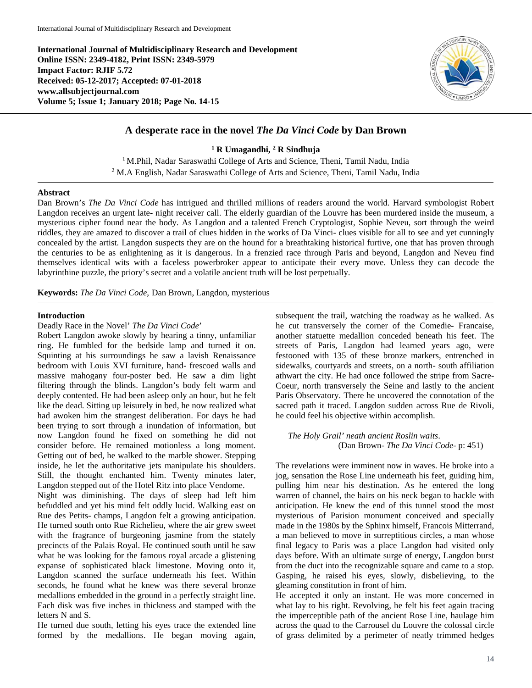**International Journal of Multidisciplinary Research and Development Online ISSN: 2349-4182, Print ISSN: 2349-5979 Impact Factor: RJIF 5.72 Received: 05-12-2017; Accepted: 07-01-2018 www.allsubjectjournal.com Volume 5; Issue 1; January 2018; Page No. 14-15**



# **A desperate race in the novel** *The Da Vinci Code* **by Dan Brown**

**<sup>1</sup> R Umagandhi, 2 R Sindhuja**

<sup>1</sup> M.Phil, Nadar Saraswathi College of Arts and Science, Theni, Tamil Nadu, India <sup>2</sup> M.A English, Nadar Saraswathi College of Arts and Science, Theni, Tamil Nadu, India

#### **Abstract**

Dan Brown's *The Da Vinci Code* has intrigued and thrilled millions of readers around the world. Harvard symbologist Robert Langdon receives an urgent late- night receiver call. The elderly guardian of the Louvre has been murdered inside the museum, a mysterious cipher found near the body. As Langdon and a talented French Cryptologist, Sophie Neveu, sort through the weird riddles, they are amazed to discover a trail of clues hidden in the works of Da Vinci- clues visible for all to see and yet cunningly concealed by the artist. Langdon suspects they are on the hound for a breathtaking historical furtive, one that has proven through the centuries to be as enlightening as it is dangerous. In a frenzied race through Paris and beyond, Langdon and Neveu find themselves identical wits with a faceless powerbroker appear to anticipate their every move. Unless they can decode the labyrinthine puzzle, the priory's secret and a volatile ancient truth will be lost perpetually.

**Keywords:** *The Da Vinci Code,* Dan Brown, Langdon, mysterious

### **Introduction**

#### Deadly Race in the Novel' *The Da Vinci Code*'

Robert Langdon awoke slowly by hearing a tinny, unfamiliar ring. He fumbled for the bedside lamp and turned it on. Squinting at his surroundings he saw a lavish Renaissance bedroom with Louis XVI furniture, hand- frescoed walls and massive mahogany four-poster bed. He saw a dim light filtering through the blinds. Langdon's body felt warm and deeply contented. He had been asleep only an hour, but he felt like the dead. Sitting up leisurely in bed, he now realized what had awoken him the strangest deliberation. For days he had been trying to sort through a inundation of information, but now Langdon found he fixed on something he did not consider before. He remained motionless a long moment. Getting out of bed, he walked to the marble shower. Stepping inside, he let the authoritative jets manipulate his shoulders. Still, the thought enchanted him. Twenty minutes later, Langdon stepped out of the Hotel Ritz into place Vendome.

Night was diminishing. The days of sleep had left him befuddled and yet his mind felt oddly lucid. Walking east on Rue des Petits- champs, Langdon felt a growing anticipation. He turned south onto Rue Richelieu, where the air grew sweet with the fragrance of burgeoning jasmine from the stately precincts of the Palais Royal. He continued south until he saw what he was looking for the famous royal arcade a glistening expanse of sophisticated black limestone. Moving onto it, Langdon scanned the surface underneath his feet. Within seconds, he found what he knew was there several bronze medallions embedded in the ground in a perfectly straight line. Each disk was five inches in thickness and stamped with the letters N and S.

He turned due south, letting his eyes trace the extended line formed by the medallions. He began moving again, subsequent the trail, watching the roadway as he walked. As he cut transversely the corner of the Comedie- Francaise, another statuette medallion conceded beneath his feet. The streets of Paris, Langdon had learned years ago, were festooned with 135 of these bronze markers, entrenched in sidewalks, courtyards and streets, on a north- south affiliation athwart the city. He had once followed the stripe from Sacre-Coeur, north transversely the Seine and lastly to the ancient Paris Observatory. There he uncovered the connotation of the sacred path it traced. Langdon sudden across Rue de Rivoli, he could feel his objective within accomplish.

### *The Holy Grail' neath ancient Roslin waits*. (Dan Brown- *The Da Vinci Code*- p: 451)

The revelations were imminent now in waves. He broke into a jog, sensation the Rose Line underneath his feet, guiding him, pulling him near his destination. As he entered the long warren of channel, the hairs on his neck began to hackle with anticipation. He knew the end of this tunnel stood the most mysterious of Parision monument conceived and specially made in the 1980s by the Sphinx himself, Francois Mitterrand, a man believed to move in surreptitious circles, a man whose final legacy to Paris was a place Langdon had visited only days before. With an ultimate surge of energy, Langdon burst from the duct into the recognizable square and came to a stop. Gasping, he raised his eyes, slowly, disbelieving, to the gleaming constitution in front of him.

He accepted it only an instant. He was more concerned in what lay to his right. Revolving, he felt his feet again tracing the imperceptible path of the ancient Rose Line, haulage him across the quad to the Carrousel du Louvre the colossal circle of grass delimited by a perimeter of neatly trimmed hedges